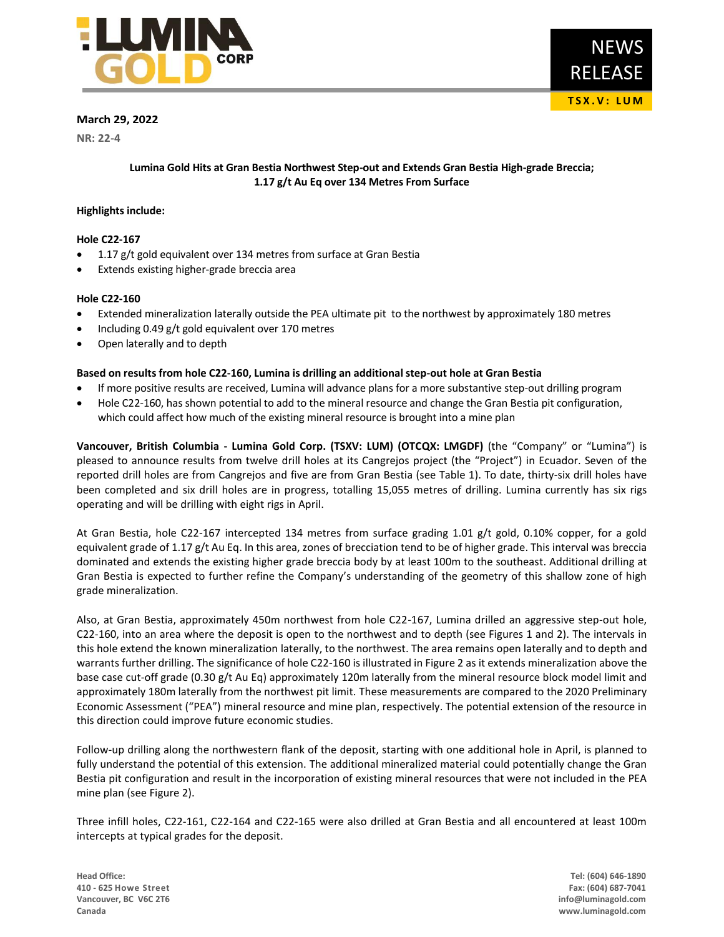

# **March 29, 2022**

**NR: 22-4**

# **Lumina Gold Hits at Gran Bestia Northwest Step-out and Extends Gran Bestia High-grade Breccia; 1.17 g/t Au Eq over 134 Metres From Surface**

## **Highlights include:**

### **Hole C22-167**

- 1.17 g/t gold equivalent over 134 metres from surface at Gran Bestia
- Extends existing higher-grade breccia area

### **Hole C22-160**

- Extended mineralization laterally outside the PEA ultimate pit to the northwest by approximately 180 metres
- Including 0.49 g/t gold equivalent over 170 metres
- Open laterally and to depth

### **Based on results from hole C22-160, Lumina is drilling an additional step-out hole at Gran Bestia**

- If more positive results are received, Lumina will advance plans for a more substantive step-out drilling program
- Hole C22-160, has shown potential to add to the mineral resource and change the Gran Bestia pit configuration, which could affect how much of the existing mineral resource is brought into a mine plan

**Vancouver, British Columbia - Lumina Gold Corp. (TSXV: LUM) (OTCQX: LMGDF)** (the "Company" or "Lumina") is pleased to announce results from twelve drill holes at its Cangrejos project (the "Project") in Ecuador. Seven of the reported drill holes are from Cangrejos and five are from Gran Bestia (see Table 1). To date, thirty-six drill holes have been completed and six drill holes are in progress, totalling 15,055 metres of drilling. Lumina currently has six rigs operating and will be drilling with eight rigs in April.

At Gran Bestia, hole C22-167 intercepted 134 metres from surface grading 1.01 g/t gold, 0.10% copper, for a gold equivalent grade of 1.17 g/t Au Eq. In this area, zones of brecciation tend to be of higher grade. This interval was breccia dominated and extends the existing higher grade breccia body by at least 100m to the southeast. Additional drilling at Gran Bestia is expected to further refine the Company's understanding of the geometry of this shallow zone of high grade mineralization.

Also, at Gran Bestia, approximately 450m northwest from hole C22-167, Lumina drilled an aggressive step-out hole, C22-160, into an area where the deposit is open to the northwest and to depth (see Figures 1 and 2). The intervals in this hole extend the known mineralization laterally, to the northwest. The area remains open laterally and to depth and warrants further drilling. The significance of hole C22-160 is illustrated in Figure 2 as it extends mineralization above the base case cut-off grade (0.30 g/t Au Eq) approximately 120m laterally from the mineral resource block model limit and approximately 180m laterally from the northwest pit limit. These measurements are compared to the 2020 Preliminary Economic Assessment ("PEA") mineral resource and mine plan, respectively. The potential extension of the resource in this direction could improve future economic studies.

Follow-up drilling along the northwestern flank of the deposit, starting with one additional hole in April, is planned to fully understand the potential of this extension. The additional mineralized material could potentially change the Gran Bestia pit configuration and result in the incorporation of existing mineral resources that were not included in the PEA mine plan (see Figure 2).

Three infill holes, C22-161, C22-164 and C22-165 were also drilled at Gran Bestia and all encountered at least 100m intercepts at typical grades for the deposit.

**Head Office: Tel: (604) 646-1890 410 - 625 Howe Street Fax: (604) 687-7041 Vancouver, BC V6C 2T6 info@luminagold.com Canada www.luminagold.com**

**T S X . V : L U M**

RELEASE

NEWS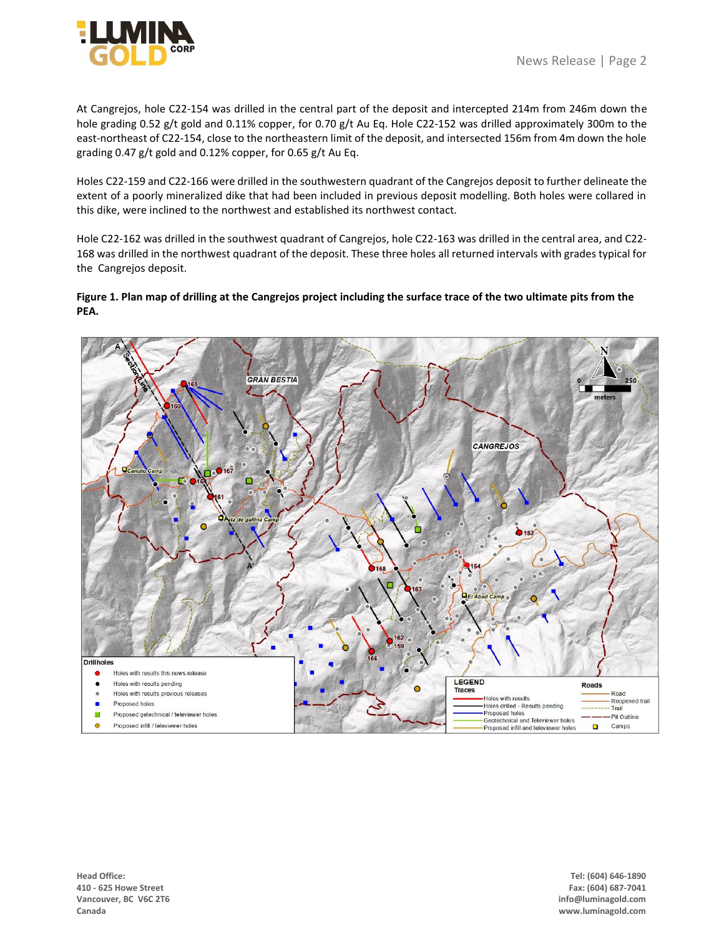At Cangrejos, hole C22-154 was drilled in the central part of the deposit and intercepted 214m from 246m down the hole grading 0.52 g/t gold and 0.11% copper, for 0.70 g/t Au Eq. Hole C22-152 was drilled approximately 300m to the east-northeast of C22-154, close to the northeastern limit of the deposit, and intersected 156m from 4m down the hole grading 0.47 g/t gold and 0.12% copper, for 0.65 g/t Au Eq.

Holes C22-159 and C22-166 were drilled in the southwestern quadrant of the Cangrejos deposit to further delineate the extent of a poorly mineralized dike that had been included in previous deposit modelling. Both holes were collared in this dike, were inclined to the northwest and established its northwest contact.

Hole C22-162 was drilled in the southwest quadrant of Cangrejos, hole C22-163 was drilled in the central area, and C22- 168 was drilled in the northwest quadrant of the deposit. These three holes all returned intervals with grades typical for the Cangrejos deposit.

# **Figure 1. Plan map of drilling at the Cangrejos project including the surface trace of the two ultimate pits from the PEA.**



**Head Office: Tel: (604) 646-1890 410 - 625 Howe Street Fax: (604) 687-7041 Vancouver, BC V6C 2T6 info@luminagold.com Canada www.luminagold.com**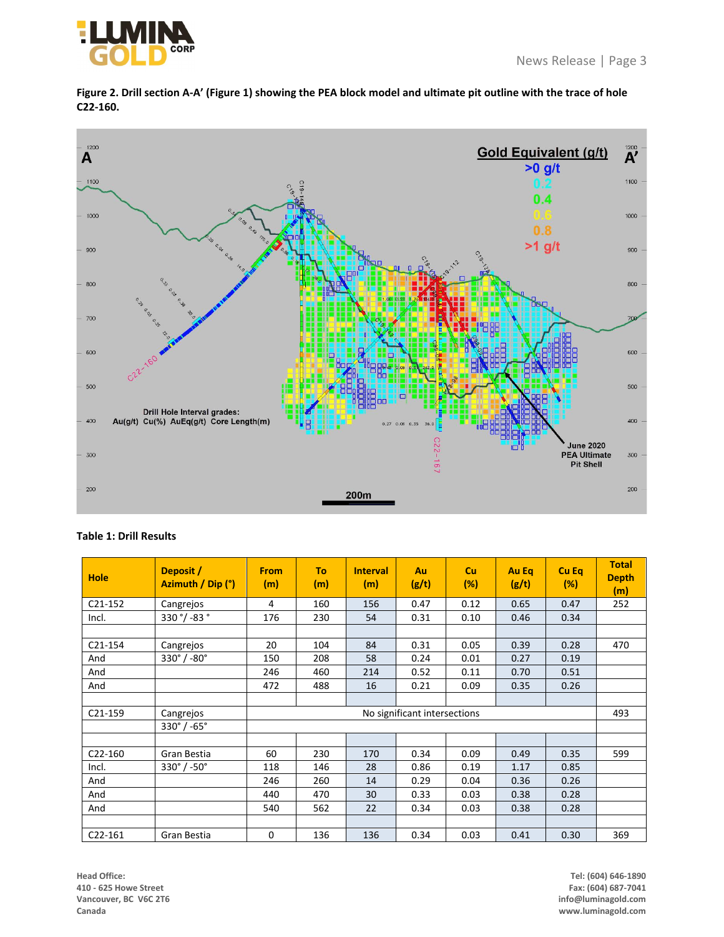



**Figure 2. Drill section A-A' (Figure 1) showing the PEA block model and ultimate pit outline with the trace of hole C22-160.**

# **Table 1: Drill Results**

| <b>Hole</b>          | Deposit /<br>Azimuth / Dip (°) | <b>From</b><br>(m)           | To<br>(m) | <b>Interval</b><br>(m) | Au<br>(g/t) | <b>Cu</b><br>(%) | Au Eq<br>(g/t) | Cu Eq<br>(%) | <b>Total</b><br><b>Depth</b><br>(m) |
|----------------------|--------------------------------|------------------------------|-----------|------------------------|-------------|------------------|----------------|--------------|-------------------------------------|
| $C21-152$            | Cangrejos                      | 4                            | 160       | 156                    | 0.47        | 0.12             | 0.65           | 0.47         | 252                                 |
| Incl.                | 330 °/ -83 °                   | 176                          | 230       | 54                     | 0.31        | 0.10             | 0.46           | 0.34         |                                     |
|                      |                                |                              |           |                        |             |                  |                |              |                                     |
| $C21-154$            | Cangrejos                      | 20                           | 104       | 84                     | 0.31        | 0.05             | 0.39           | 0.28         | 470                                 |
| And                  | $330^\circ / -80^\circ$        | 150                          | 208       | 58                     | 0.24        | 0.01             | 0.27           | 0.19         |                                     |
| And                  |                                | 246                          | 460       | 214                    | 0.52        | 0.11             | 0.70           | 0.51         |                                     |
| And                  |                                | 472                          | 488       | 16                     | 0.21        | 0.09             | 0.35           | 0.26         |                                     |
|                      |                                |                              |           |                        |             |                  |                |              |                                     |
| $C21-159$            | Cangrejos                      | No significant intersections |           |                        |             |                  | 493            |              |                                     |
|                      | $330^\circ$ / -65 $^\circ$     |                              |           |                        |             |                  |                |              |                                     |
|                      |                                |                              |           |                        |             |                  |                |              |                                     |
| C <sub>22</sub> -160 | Gran Bestia                    | 60                           | 230       | 170                    | 0.34        | 0.09             | 0.49           | 0.35         | 599                                 |
| Incl.                | $330^\circ / -50^\circ$        | 118                          | 146       | 28                     | 0.86        | 0.19             | 1.17           | 0.85         |                                     |
| And                  |                                | 246                          | 260       | 14                     | 0.29        | 0.04             | 0.36           | 0.26         |                                     |
| And                  |                                | 440                          | 470       | 30                     | 0.33        | 0.03             | 0.38           | 0.28         |                                     |
| And                  |                                | 540                          | 562       | 22                     | 0.34        | 0.03             | 0.38           | 0.28         |                                     |
|                      |                                |                              |           |                        |             |                  |                |              |                                     |
| $C22-161$            | Gran Bestia                    | 0                            | 136       | 136                    | 0.34        | 0.03             | 0.41           | 0.30         | 369                                 |

**Head Office: Tel: (604) 646-1890 410 - 625 Howe Street Fax: (604) 687-7041 Vancouver, BC V6C 2T6** 

**Canada www.luminagold.com**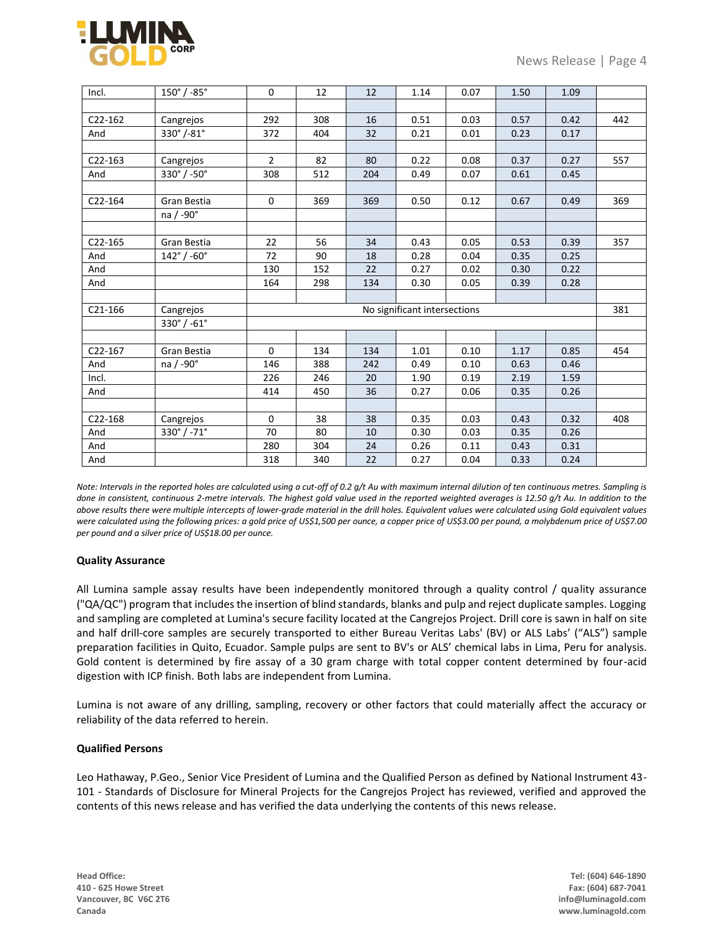

| Incl.   | $150^{\circ}$ / -85 $^{\circ}$ | 0                            | 12  | 12  | 1.14 | 0.07 | 1.50 | 1.09 |     |
|---------|--------------------------------|------------------------------|-----|-----|------|------|------|------|-----|
|         |                                |                              |     |     |      |      |      |      |     |
| C22-162 | Cangrejos                      | 292                          | 308 | 16  | 0.51 | 0.03 | 0.57 | 0.42 | 442 |
| And     | 330°/-81°                      | 372                          | 404 | 32  | 0.21 | 0.01 | 0.23 | 0.17 |     |
|         |                                |                              |     |     |      |      |      |      |     |
| C22-163 | Cangrejos                      | $\overline{2}$               | 82  | 80  | 0.22 | 0.08 | 0.37 | 0.27 | 557 |
| And     | 330°/-50°                      | 308                          | 512 | 204 | 0.49 | 0.07 | 0.61 | 0.45 |     |
|         |                                |                              |     |     |      |      |      |      |     |
| C22-164 | Gran Bestia                    | 0                            | 369 | 369 | 0.50 | 0.12 | 0.67 | 0.49 | 369 |
|         | na / -90°                      |                              |     |     |      |      |      |      |     |
|         |                                |                              |     |     |      |      |      |      |     |
| C22-165 | Gran Bestia                    | 22                           | 56  | 34  | 0.43 | 0.05 | 0.53 | 0.39 | 357 |
| And     | $142^{\circ}$ / -60 $^{\circ}$ | 72                           | 90  | 18  | 0.28 | 0.04 | 0.35 | 0.25 |     |
| And     |                                | 130                          | 152 | 22  | 0.27 | 0.02 | 0.30 | 0.22 |     |
| And     |                                | 164                          | 298 | 134 | 0.30 | 0.05 | 0.39 | 0.28 |     |
|         |                                |                              |     |     |      |      |      |      |     |
| C21-166 | Cangrejos                      | No significant intersections |     |     |      |      |      |      | 381 |
|         | $330^{\circ}$ / -61 $^{\circ}$ |                              |     |     |      |      |      |      |     |
|         |                                |                              |     |     |      |      |      |      |     |
| C22-167 | Gran Bestia                    | 0                            | 134 | 134 | 1.01 | 0.10 | 1.17 | 0.85 | 454 |
| And     | na / -90°                      | 146                          | 388 | 242 | 0.49 | 0.10 | 0.63 | 0.46 |     |
| Incl.   |                                | 226                          | 246 | 20  | 1.90 | 0.19 | 2.19 | 1.59 |     |
| And     |                                | 414                          | 450 | 36  | 0.27 | 0.06 | 0.35 | 0.26 |     |
|         |                                |                              |     |     |      |      |      |      |     |
| C22-168 | Cangrejos                      | 0                            | 38  | 38  | 0.35 | 0.03 | 0.43 | 0.32 | 408 |
| And     | $330^{\circ}$ / -71 $^{\circ}$ | 70                           | 80  | 10  | 0.30 | 0.03 | 0.35 | 0.26 |     |
| And     |                                | 280                          | 304 | 24  | 0.26 | 0.11 | 0.43 | 0.31 |     |
| And     |                                | 318                          | 340 | 22  | 0.27 | 0.04 | 0.33 | 0.24 |     |

*Note: Intervals in the reported holes are calculated using a cut-off of 0.2 g/t Au with maximum internal dilution of ten continuous metres. Sampling is done in consistent, continuous 2-metre intervals. The highest gold value used in the reported weighted averages is 12.50 g/t Au. In addition to the above results there were multiple intercepts of lower-grade material in the drill holes. Equivalent values were calculated using Gold equivalent values were calculated using the following prices: a gold price of US\$1,500 per ounce, a copper price of US\$3.00 per pound, a molybdenum price of US\$7.00 per pound and a silver price of US\$18.00 per ounce.*

## **Quality Assurance**

All Lumina sample assay results have been independently monitored through a quality control / quality assurance ("QA/QC") program that includes the insertion of blind standards, blanks and pulp and reject duplicate samples. Logging and sampling are completed at Lumina's secure facility located at the Cangrejos Project. Drill core is sawn in half on site and half drill-core samples are securely transported to either Bureau Veritas Labs' (BV) or ALS Labs' ("ALS") sample preparation facilities in Quito, Ecuador. Sample pulps are sent to BV's or ALS' chemical labs in Lima, Peru for analysis. Gold content is determined by fire assay of a 30 gram charge with total copper content determined by four-acid digestion with ICP finish. Both labs are independent from Lumina.

Lumina is not aware of any drilling, sampling, recovery or other factors that could materially affect the accuracy or reliability of the data referred to herein.

## **Qualified Persons**

Leo Hathaway, P.Geo., Senior Vice President of Lumina and the Qualified Person as defined by National Instrument 43- 101 - Standards of Disclosure for Mineral Projects for the Cangrejos Project has reviewed, verified and approved the contents of this news release and has verified the data underlying the contents of this news release.

**Head Office: Tel: (604) 646-1890 410 - 625 Howe Street Fax: (604) 687-7041 Vancouver, BC V6C 2T6 info@luminagold.com Canada www.luminagold.com**